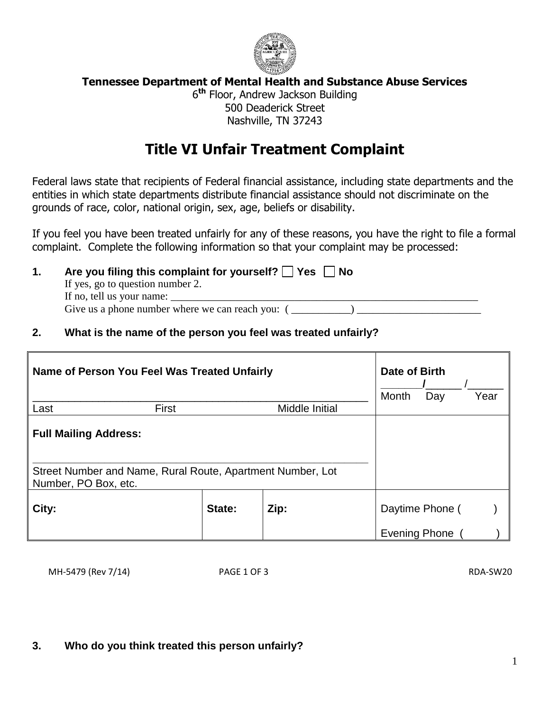

## **Tennessee Department of Mental Health and Substance Abuse Services**

6 **th** Floor, Andrew Jackson Building 500 Deaderick Street Nashville, TN 37243

## **Title VI Unfair Treatment Complaint**

Federal laws state that recipients of Federal financial assistance, including state departments and the entities in which state departments distribute financial assistance should not discriminate on the grounds of race, color, national origin, sex, age, beliefs or disability.

If you feel you have been treated unfairly for any of these reasons, you have the right to file a formal complaint. Complete the following information so that your complaint may be processed:

- **1.** Are you filing this complaint for yourself?  $\Box$  Yes  $\Box$  No If yes, go to question number 2. If no, tell us your name: Give us a phone number where we can reach you:  $($
- **2. What is the name of the person you feel was treated unfairly?**

| Name of Person You Feel Was Treated Unfairly                                                                       |        |                | Date of Birth<br>Month<br>Day | Year |
|--------------------------------------------------------------------------------------------------------------------|--------|----------------|-------------------------------|------|
| First<br>Last                                                                                                      |        | Middle Initial |                               |      |
| <b>Full Mailing Address:</b><br>Street Number and Name, Rural Route, Apartment Number, Lot<br>Number, PO Box, etc. |        |                |                               |      |
| City:                                                                                                              | State: | Zip:           | Daytime Phone (               |      |
|                                                                                                                    |        |                | <b>Evening Phone</b>          |      |

MH-5479 (Rev 7/14) PAGE 1 OF 3 RDA-SW20

## **3. Who do you think treated this person unfairly?**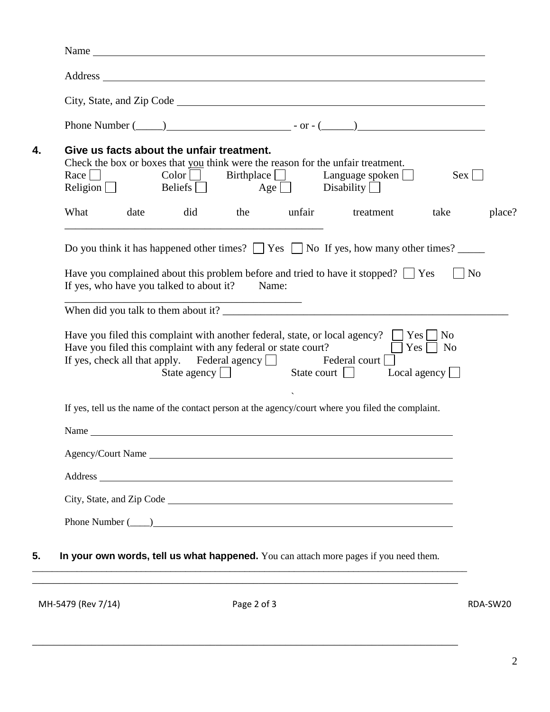|      |                                                                                        |                                                |                        |                                                                                                                                                                                                                                | Phone Number $(\_\_)$ - or $-(\_\_)$                                                              |                                      |
|------|----------------------------------------------------------------------------------------|------------------------------------------------|------------------------|--------------------------------------------------------------------------------------------------------------------------------------------------------------------------------------------------------------------------------|---------------------------------------------------------------------------------------------------|--------------------------------------|
|      |                                                                                        | Give us facts about the unfair treatment.      |                        |                                                                                                                                                                                                                                |                                                                                                   |                                      |
|      |                                                                                        |                                                |                        |                                                                                                                                                                                                                                | Check the box or boxes that you think were the reason for the unfair treatment.                   |                                      |
|      |                                                                                        |                                                |                        |                                                                                                                                                                                                                                | Race $\Box$ Color Birthplace $\Box$ Language spoken $\Box$                                        | $Sex$                                |
|      |                                                                                        |                                                |                        | Religion Beliefs $\Box$ Age Disability $\Box$                                                                                                                                                                                  |                                                                                                   |                                      |
| What | date                                                                                   |                                                |                        |                                                                                                                                                                                                                                | did the unfair treatment                                                                          | take                                 |
|      |                                                                                        |                                                |                        |                                                                                                                                                                                                                                | Do you think it has happened other times? $\Box$ Yes $\Box$ No If yes, how many other times?      |                                      |
|      |                                                                                        |                                                |                        |                                                                                                                                                                                                                                |                                                                                                   | N <sub>o</sub>                       |
|      |                                                                                        |                                                |                        |                                                                                                                                                                                                                                |                                                                                                   |                                      |
|      | Have you complained about this problem before and tried to have it stopped? $\Box$ Yes |                                                |                        |                                                                                                                                                                                                                                |                                                                                                   |                                      |
|      |                                                                                        | If yes, who have you talked to about it? Name: | ______________________ |                                                                                                                                                                                                                                |                                                                                                   |                                      |
|      |                                                                                        |                                                |                        |                                                                                                                                                                                                                                |                                                                                                   |                                      |
|      |                                                                                        |                                                |                        |                                                                                                                                                                                                                                |                                                                                                   |                                      |
|      |                                                                                        |                                                |                        | Have you filed this complaint with any federal or state court?                                                                                                                                                                 | Have you filed this complaint with another federal, state, or local agency? $\Box$ Yes $\Box$ No  | $\blacksquare$ Yes $\blacksquare$ No |
|      |                                                                                        |                                                |                        | If yes, check all that apply. Federal agency $\Box$ Federal court [                                                                                                                                                            |                                                                                                   |                                      |
|      |                                                                                        |                                                |                        |                                                                                                                                                                                                                                | State agency State court Local agency                                                             |                                      |
|      |                                                                                        |                                                |                        |                                                                                                                                                                                                                                |                                                                                                   |                                      |
|      |                                                                                        |                                                |                        |                                                                                                                                                                                                                                | If yes, tell us the name of the contact person at the agency/court where you filed the complaint. |                                      |
|      |                                                                                        |                                                |                        |                                                                                                                                                                                                                                |                                                                                                   |                                      |
|      |                                                                                        |                                                |                        |                                                                                                                                                                                                                                |                                                                                                   |                                      |
|      |                                                                                        |                                                |                        |                                                                                                                                                                                                                                | Agency/Court Name                                                                                 |                                      |
|      |                                                                                        |                                                |                        | Address and the contract of the contract of the contract of the contract of the contract of the contract of the contract of the contract of the contract of the contract of the contract of the contract of the contract of th |                                                                                                   |                                      |
|      |                                                                                        |                                                |                        |                                                                                                                                                                                                                                |                                                                                                   |                                      |
|      |                                                                                        |                                                |                        |                                                                                                                                                                                                                                |                                                                                                   |                                      |

MH-5479 (Rev 7/14) **Page 2 of 3** RDA-SW20

\_\_\_\_\_\_\_\_\_\_\_\_\_\_\_\_\_\_\_\_\_\_\_\_\_\_\_\_\_\_\_\_\_\_\_\_\_\_\_\_\_\_\_\_\_\_\_\_\_\_\_\_\_\_\_\_\_\_\_\_\_\_\_\_\_\_\_\_\_\_\_\_\_\_\_\_\_\_\_